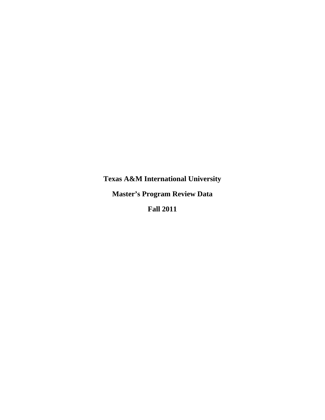**Texas A&M International University Master's Program Review Data Fall 2011**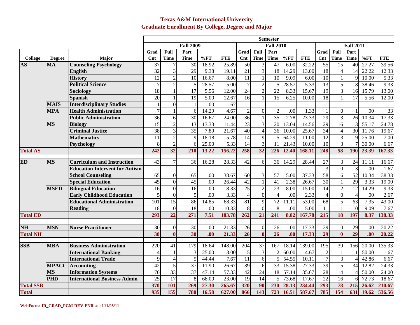### **Texas A&M International University Graduate Enrollment By College, Degree and Major**

|                  |               |                                       |                          |                          |                 |                   |                   | <b>Semester</b>      |                 |                  |                   |                   |                  |                 |                 |                   |                  |  |
|------------------|---------------|---------------------------------------|--------------------------|--------------------------|-----------------|-------------------|-------------------|----------------------|-----------------|------------------|-------------------|-------------------|------------------|-----------------|-----------------|-------------------|------------------|--|
|                  |               |                                       | <b>Fall 2009</b>         |                          |                 |                   |                   |                      |                 | <b>Fall 2010</b> |                   |                   | <b>Fall 2011</b> |                 |                 |                   |                  |  |
|                  |               |                                       | Grad                     | Full                     | Part            |                   |                   | Full<br>Part<br>Grad |                 |                  |                   |                   | Full<br>Grad     |                 | Part            |                   |                  |  |
| <b>College</b>   | <b>Degree</b> | Major                                 | $\mathbf{Cnt}$           | Time                     | <b>Time</b>     | %FT               | <b>FTE</b>        | Cnt                  | <b>Time</b>     | <b>Time</b>      | %FT               | <b>FTE</b>        | Cnt              | Time            | <b>Time</b>     | %FT               | <b>FTE</b>       |  |
| <b>AS</b>        | <b>MA</b>     | <b>Counseling Psychology</b>          | 37                       |                          | 30              | 18.92             | 25.89             | $\overline{50}$      | 3               | 47               | 6.00              | 32.22             | $\overline{55}$  | 15              | 40              | 27.27             | 39.56            |  |
|                  |               | <b>English</b>                        | $\overline{32}$          | 3                        | 29              | 9.38              | 19.11             | $\overline{21}$      | $\overline{3}$  | 18               | 14.29             | 13.00             | 18               | $\overline{4}$  | 14              | 22.22             | 12.33            |  |
|                  |               | <b>History</b>                        | 12                       | $\overline{2}$           | 10              | 16.67             | 8.00              | $\overline{11}$      | $\mathbf{1}$    | $\overline{10}$  | 9.09              | 6.00              | 10               | $\mathbf{1}$    | q               | 10.00             | 5.33             |  |
|                  |               | <b>Political Science</b>              | $\overline{7}$           | $\overline{2}$           | 5               | 28.57             | $\overline{5.00}$ | $\overline{7}$       | $\overline{2}$  | 5                | 28.57             | $\overline{5.33}$ | $\overline{13}$  | $\overline{5}$  | 8               | 38.46             | 9.33             |  |
|                  |               | Sociology                             | 18                       |                          | $\overline{17}$ | 5.56              | 12.00             | $\overline{24}$      | $\overline{2}$  | $\overline{22}$  | 8.33              | 15.67             | $\overline{19}$  | $\overline{3}$  | 16              | 15.79             | 13.00            |  |
|                  |               | <b>Spanish</b>                        | $\overline{20}$          |                          | 19              | $\overline{5.00}$ | 12.67             | $\overline{16}$      | $\mathbf{1}$    | $\overline{15}$  | 6.25              | 10.00             | $\overline{18}$  |                 | 17              | $\overline{5.56}$ | 12.00            |  |
|                  | <b>MAIS</b>   | <b>Interdisciplinary Studies</b>      |                          | $\Omega$                 | $\mathbf{1}$    | $\overline{00}$   | .67               |                      |                 |                  |                   |                   |                  |                 |                 |                   |                  |  |
|                  | <b>MPA</b>    | <b>Health Administration</b>          | 7                        |                          | 6               | 14.29             | 4.67              | $\overline{2}$       | $\overline{0}$  | $\overline{2}$   | .00               | 1.33              |                  | $\overline{0}$  |                 | .00               | $\overline{.33}$ |  |
|                  |               | <b>Public Administration</b>          | $\overline{36}$          | 6                        | $\overline{30}$ | 16.67             | 24.00             | 36                   | $\mathbf{1}$    | 35               | 2.78              | 23.33             | 29               | $\overline{3}$  | $\overline{26}$ | 10.34             | 17.33            |  |
|                  | <b>MS</b>     | <b>Biology</b>                        | 15                       | $\overline{2}$           | 13              | 13.33             | 11.44             | $\overline{23}$      | 3               | 20               | 13.04             | 14.56             | $\overline{29}$  | 16              | 13              | 55.17             | 24.78            |  |
|                  |               | <b>Criminal Justice</b>               | 38                       | 3                        | $\overline{35}$ | 7.89              | 21.67             | 40                   | $\overline{4}$  | 36               | 10.00             | 25.67             | 34               | $\overline{4}$  | 30              | 11.76             | 19.67            |  |
|                  |               | <b>Mathematics</b>                    | 11                       | $\overline{2}$           | $\overline{9}$  | 18.18             | 5.78              | $\overline{14}$      | $\overline{9}$  | 5                | 64.29             | 11.00             | $\overline{12}$  | $\overline{3}$  | q               | 25.00             | 7.00             |  |
|                  |               | Psychology                            | 8                        | $\overline{2}$           | 6               | 25.00             | $\overline{5.33}$ | 14                   | $\overline{3}$  | $\overline{11}$  | 21.43             | 10.00             | 10               | $\overline{3}$  |                 | 30.00             | 6.67             |  |
| <b>Total AS</b>  |               |                                       | 242                      | $\overline{32}$          | 210             | 13.22             | 156.22            | 258                  | $\overline{32}$ | 226              | 12.40             | 168.11            | 248              | 58              | 190             | 23.39             | 167.33           |  |
| ED               | <b>MS</b>     | <b>Curriculum and Instruction</b>     | $\overline{43}$          |                          | $\overline{36}$ | 16.28             | 28.33             | $\overline{42}$      | 6               | $\overline{36}$  | 14.29             | 28.44             | $\overline{27}$  | 3               | $\overline{24}$ | 11.11             | 16.67            |  |
|                  |               | <b>Education Intervent for Autism</b> |                          |                          |                 |                   |                   |                      |                 |                  |                   |                   | 3                | $\overline{0}$  | 3               | .00               | 1.67             |  |
|                  |               | <b>School Counseling</b>              | 65                       | $\Omega$                 | 65              | .00               | 38.67             | 60                   | 3               | $\overline{57}$  | 5.00              | 37.33             | $\overline{58}$  | 6               | 52              | 10.34             | 38.33            |  |
|                  |               | <b>Special Education</b>              | $\overline{45}$          | $\Omega$                 | 45              | $\overline{.00}$  | 26.44             | 42                   | $\mathbf{1}$    | $\overline{41}$  | 2.38              | 26.67             | $\overline{30}$  | $\mathbf{1}$    | 29              | 3.33              | 19.00            |  |
|                  | <b>MSED</b>   | <b>Bilingual Education</b>            | 16                       | $\Omega$                 | 16              | $\overline{.00}$  | 8.33              | $\overline{25}$      | $\overline{2}$  | 23               | $\overline{8.00}$ | 15.00             | $\overline{14}$  | $\overline{2}$  | $\overline{12}$ | 14.29             | 9.33             |  |
|                  |               | <b>Early Childhood Education</b>      | 5                        | $\Omega$                 | 5               | $\overline{00}$   | 3.33              | $\overline{4}$       | $\overline{0}$  | $\overline{4}$   | .00               | 2.33              | $\overline{4}$   | $\Omega$        | $\overline{A}$  | .00               | 2.67             |  |
|                  |               | <b>Educational Administration</b>     | 101                      | $\overline{15}$          | 86              | 14.85             | 68.33             | $\overline{81}$      | $\overline{9}$  | 72               | 11.11             | 53.00             | $\overline{68}$  | 5               | $\overline{63}$ | 7.35              | 43.00            |  |
|                  |               | <b>Reading</b>                        | 18                       | $\Omega$                 | 18              | $\overline{00}$   | 10.33             | 8                    | $\overline{0}$  | 8                | $\overline{00}$   | 5.00              | 11               |                 | $\overline{10}$ | 9.09              | 7.67             |  |
| <b>Total ED</b>  |               |                                       | 293                      | $\overline{22}$          | 271             | 7.51              | 183.78            | 262                  | $\overline{21}$ | 241              | 8.02              | 167.78            | 215              | 18              | 197             | 8.37              | 138.33           |  |
| <b>NH</b>        | <b>MSN</b>    | <b>Nurse Practitioner</b>             | 30                       | $\Omega$                 | $\overline{30}$ | $\overline{.00}$  | 21.33             | $\overline{26}$      | $\mathbf{0}$    | $\overline{26}$  | .00               | 17.33             | 29               | $\mathbf{0}$    | $\overline{29}$ | .00               | 20.22            |  |
| <b>Total NH</b>  |               |                                       | $\overline{30}$          | $\mathbf{0}$             | 30              | .00               | 21.33             | $\overline{26}$      | $\bf{0}$        | $\overline{26}$  | .00               | 17.33             | $\overline{29}$  | $\bf{0}$        | 29              | .00               | 20.22            |  |
|                  |               |                                       |                          |                          |                 |                   |                   |                      |                 |                  |                   |                   |                  |                 |                 |                   |                  |  |
| <b>SSB</b>       | MBA           | <b>Business Administration</b>        | 220                      | 41                       | 179             | 18.64             | 148.00            | 204                  | 37              | 167              | 18.14             | 139.00            | 195              | 39              | 156             | 20.00             | 135.33           |  |
|                  |               | <b>International Banking</b>          | $\overline{\mathcal{A}}$ |                          | 3               | 25.00             | 3.00              | 5                    | $\overline{3}$  | $\overline{2}$   | 60.00             | 4.67              | $\overline{2}$   | $\mathbf{1}$    |                 | 50.00             | 1.67             |  |
|                  |               | <b>International Trade</b>            | $\mathbf Q$              | $\overline{\mathcal{A}}$ | 5               | 44.44             | 7.67              | 11                   | 6               | 5                | 54.55             | 10.11             | $\tau$           | 3               |                 | 42.86             | 6.67             |  |
|                  | <b>MPACC</b>  | <b>Accounting</b>                     | $\overline{42}$          | 5                        | 37              | 11.90             | 26.67             | 39                   | 6               | 33               | 15.38             | 27.33             | 39               | 5               | $\overline{34}$ | 12.82             | 24.33            |  |
|                  | <b>MS</b>     | <b>Information Systems</b>            | $\overline{70}$          | $\overline{33}$          | $\overline{37}$ | 47.14             | 57.33             | 42                   | $\overline{24}$ | 18               | 57.14             | 35.67             | 28               | $\overline{14}$ | 14              | 50.00             | 24.00            |  |
|                  | <b>PHD</b>    | <b>International Business Admin</b>   | $\overline{25}$          | 17                       | 8               | 68.00             | 23.00             | 19                   | 14              | 5                | 73.68             | 17.67             | $\overline{22}$  | $\overline{16}$ | 6               | 72.73             | 18.67            |  |
| <b>Total SSB</b> |               |                                       | 370                      | 101                      | 269             | 27.30             | 265.67            | 320                  | 90              | 230              | 28.13             | 234.44            | 293              | 78              | 215             | 26.62             | 210.67           |  |
| <b>Total</b>     |               |                                       | 935                      | 155                      | 780             | 16.58             | 627.00            | 866                  | 143             | 723              | 16.51             | 587.67            | 785              | 154             | 631             | 19.62             | 536.56           |  |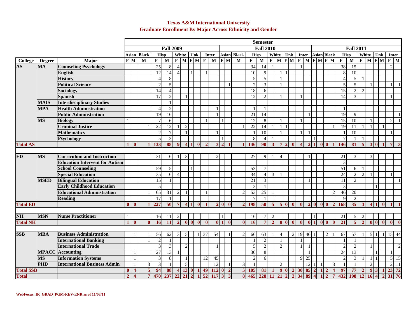#### **Texas A&M International University Graduate Enrollment By Major Across Ethnicity and Gender**

|                  |               |                                       | <b>Semester</b>         |                                      |                |                             |                |                         |                       |                |                  |              |                 |                                    |                         |                         |                 |                        |                |                           |                                  |                       |                 |                |              |                                           |                 |                 |                |                       |                           |                                   |                |                 |
|------------------|---------------|---------------------------------------|-------------------------|--------------------------------------|----------------|-----------------------------|----------------|-------------------------|-----------------------|----------------|------------------|--------------|-----------------|------------------------------------|-------------------------|-------------------------|-----------------|------------------------|----------------|---------------------------|----------------------------------|-----------------------|-----------------|----------------|--------------|-------------------------------------------|-----------------|-----------------|----------------|-----------------------|---------------------------|-----------------------------------|----------------|-----------------|
|                  |               |                                       |                         | <b>Fall 2009</b><br><b>Fall 2010</b> |                |                             |                |                         |                       |                | <b>Fall 2011</b> |              |                 |                                    |                         |                         |                 |                        |                |                           |                                  |                       |                 |                |              |                                           |                 |                 |                |                       |                           |                                   |                |                 |
|                  |               |                                       | Asian                   |                                      | <b>Black</b>   | <b>Hisp</b>                 |                |                         | White                 | Unk            |                  | Inter        |                 | <b>Asian Black</b>                 |                         |                         | <b>Hisp</b>     |                        |                |                           | White Unk<br>Inter               |                       |                 |                |              | <b>Asian Black</b>                        |                 | <b>Hisp</b>     |                | White                 | Unk<br>Inter              |                                   |                |                 |
| <b>College</b>   | <b>Degree</b> | Major                                 |                         | $\overline{\mathbf{F}}$ M            | M              | $\mathbf{F}$                | $\mathbf{M}$   | $\mathbf F$             | $\mathbf{M}$          | $F$ M          |                  | $\mathbf F$  | M               | $\overline{\mathbf{F} \mathbf{M}}$ |                         | M                       | $\mathbf{F}$    | $\mathbf M$            | $\mathbf F$    |                           | <b>M F M</b>                     |                       |                 |                |              | $F$ M $F$ M $F$ M                         | $\mathbf F$     | $\mathbf{M}$    | $\mathbf{F}$   | $\mathbf{M}$          | $F$ M                     |                                   | F M            |                 |
| <b>AS</b>        | <b>MA</b>     | <b>Counseling Psychology</b>          |                         |                                      |                | 25                          | $\,8\,$        | $\overline{4}$          |                       |                |                  |              |                 |                                    |                         |                         | 34              | 14                     |                |                           |                                  | $\mathbf{1}$          |                 |                |              |                                           | 38              | 15              |                |                       |                           |                                   | $\overline{2}$ |                 |
|                  |               | English                               |                         |                                      |                | 12                          | 14             | $\overline{A}$          |                       | $\mathbf{1}$   |                  |              |                 |                                    |                         |                         | 10              | $\mathbf{Q}$           |                | $\mathbf{1}$              |                                  |                       |                 |                |              |                                           | 8               | 10              |                |                       |                           |                                   |                |                 |
|                  |               | <b>History</b>                        |                         |                                      |                | $\boldsymbol{\vartriangle}$ | 8              |                         |                       |                |                  |              |                 |                                    |                         |                         | 5               | 5                      |                | $\mathbf{1}$              |                                  |                       |                 |                |              |                                           | $\overline{A}$  | $\overline{5}$  |                |                       |                           |                                   |                |                 |
|                  |               | <b>Political Science</b>              |                         |                                      |                | $\overline{c}$              | $\overline{5}$ |                         |                       |                |                  |              |                 |                                    |                         |                         | $\overline{c}$  | 3                      |                | $\overline{1}$            |                                  |                       |                 |                |              |                                           | 5               | $\overline{5}$  |                |                       |                           |                                   |                |                 |
|                  |               | <b>Sociology</b>                      |                         |                                      |                | 14                          | $\overline{4}$ |                         |                       |                |                  |              |                 |                                    |                         |                         | 18              | 6                      |                |                           |                                  |                       |                 |                |              |                                           | 15              | $\overline{2}$  | 2              |                       |                           |                                   |                |                 |
|                  |               | <b>Spanish</b>                        |                         |                                      |                | 17                          | $\sqrt{2}$     |                         |                       |                |                  |              |                 |                                    |                         |                         | $\overline{12}$ | $\mathcal{D}$          |                |                           |                                  | $\mathbf{1}$          |                 |                |              |                                           | 14              | 3               |                |                       |                           |                                   |                |                 |
|                  | <b>MAIS</b>   | <b>Interdisciplinary Studies</b>      |                         |                                      |                |                             | $\mathbf{1}$   |                         |                       |                |                  |              |                 |                                    |                         |                         |                 |                        |                |                           |                                  |                       |                 |                |              |                                           |                 |                 |                |                       |                           |                                   |                |                 |
|                  | <b>MPA</b>    | <b>Health Administration</b>          |                         |                                      |                | $\boldsymbol{\vartriangle}$ | $\overline{c}$ |                         |                       |                |                  |              |                 |                                    |                         |                         |                 |                        |                |                           |                                  |                       |                 |                |              |                                           |                 |                 |                |                       |                           |                                   |                |                 |
|                  |               | <b>Public Administration</b>          |                         |                                      |                | 19                          | 16             |                         |                       |                |                  |              |                 |                                    |                         |                         | 21              | $\overline{14}$        |                |                           |                                  |                       |                 |                |              |                                           | $\overline{19}$ | 9               |                |                       |                           |                                   |                |                 |
|                  | <b>MS</b>     | <b>Biology</b>                        |                         |                                      |                | $\overline{7}$              | 6              |                         |                       |                |                  | $\mathbf{1}$ |                 | $\mathbf{1}$                       |                         |                         | $\overline{12}$ | 8                      |                | $\mathbf{1}$              |                                  | $\mathbf{1}$          |                 |                |              |                                           | 15              | $\overline{10}$ |                | $\overline{1}$        |                           |                                   | $\mathbf{2}$   | $\overline{1}$  |
|                  |               | <b>Criminal Justice</b>               |                         |                                      |                | 22                          | 12             |                         | $\overline{2}$        |                |                  |              |                 |                                    |                         |                         | 22              | 14                     |                | $\mathbf{1}$              |                                  |                       |                 |                |              |                                           | $\overline{19}$ | 11              |                | $\blacksquare$        |                           |                                   |                |                 |
|                  |               | <b>Mathematics</b>                    |                         |                                      |                | $\overline{c}$              | $\overline{7}$ |                         |                       |                |                  |              |                 |                                    |                         |                         |                 | 10                     |                |                           |                                  |                       |                 |                |              |                                           | $\overline{1}$  | 10              |                |                       |                           |                                   |                |                 |
|                  |               | Psychology                            |                         |                                      |                | 5                           | 3              |                         |                       |                |                  |              |                 | $\overline{1}$                     |                         |                         | 8               | $\Delta$               |                |                           |                                  |                       |                 |                |              |                                           | $\overline{7}$  |                 |                |                       |                           |                                   |                |                 |
| <b>Total AS</b>  |               |                                       |                         | $\mathbf{0}$                         |                | 133                         | 88             | $\boldsymbol{Q}$        | $\boldsymbol{\Delta}$ |                | $\mathbf{0}$     |              | 3               | $\overline{2}$                     |                         |                         | 146             | 90                     | $\mathbf{3}$   | $\overline{7}$            | $\mathbf{0}$                     | $\boldsymbol{\Delta}$ | $\mathcal{P}$   |                | $\mathbf{0}$ | $\mathbf{0}$                              | 146             | 81              | $\overline{5}$ |                       | 3 <sup>0</sup>            |                                   | $\overline{7}$ |                 |
|                  |               |                                       |                         |                                      |                |                             |                |                         |                       |                |                  |              |                 |                                    |                         |                         |                 |                        |                |                           |                                  |                       |                 |                |              |                                           |                 |                 |                |                       |                           |                                   |                |                 |
| ED               | <b>MS</b>     | <b>Curriculum and Instruction</b>     |                         |                                      |                | $\overline{31}$             | 6              |                         | $\overline{3}$        |                |                  |              | $\overline{c}$  |                                    |                         |                         | $\overline{27}$ | 9                      | -1             | $\overline{4}$            |                                  |                       |                 |                |              |                                           | 21              | 3               |                | 3                     |                           |                                   |                |                 |
|                  |               | <b>Education Intervent for Autism</b> |                         |                                      |                |                             |                |                         |                       |                |                  |              |                 |                                    |                         |                         |                 |                        |                |                           |                                  |                       |                 |                |              |                                           | 3               |                 |                |                       |                           |                                   |                |                 |
|                  |               | <b>School Counseling</b>              |                         |                                      |                | 59                          | 5              |                         |                       | $\mathbf{1}$   |                  |              |                 |                                    |                         |                         | 53              | $\overline{7}$         |                |                           |                                  |                       |                 |                |              |                                           | $\overline{51}$ | 6               |                |                       |                           |                                   |                |                 |
|                  |               | <b>Special Education</b>              |                         |                                      |                | $\overline{35}$             | 6              | $\overline{4}$          |                       |                |                  |              |                 |                                    |                         |                         | $\overline{34}$ | $\overline{4}$         | 3              |                           |                                  |                       |                 |                |              |                                           | $\overline{24}$ | $\overline{2}$  | $\overline{2}$ |                       |                           |                                   |                |                 |
|                  | <b>MSED</b>   | <b>Bilingual Education</b>            |                         |                                      |                | 15                          | 1              |                         |                       |                |                  |              |                 |                                    |                         |                         | $\overline{21}$ | 3                      |                |                           |                                  |                       |                 |                |              |                                           | 11              | 2               |                |                       |                           |                                   |                | $\mathbf{1}$    |
|                  |               | <b>Early Childhood Education</b>      |                         |                                      |                | 5                           |                |                         |                       |                |                  |              |                 |                                    |                         |                         | 3               |                        |                |                           |                                  |                       |                 |                |              |                                           | 3               |                 |                |                       |                           |                                   |                |                 |
|                  |               | <b>Educational Administration</b>     |                         |                                      |                | 65                          | 31             | $\overline{c}$          |                       |                |                  |              |                 |                                    |                         | $\overline{2}$          | $\overline{53}$ | $\overline{25}$        |                |                           |                                  |                       |                 |                |              | $\overline{c}$                            | 46              | $20\,$          |                |                       |                           |                                   |                |                 |
|                  |               | <b>Reading</b>                        |                         |                                      |                | 17                          |                |                         |                       |                |                  |              |                 |                                    |                         |                         | $\overline{1}$  | $\overline{1}$         |                |                           |                                  |                       |                 |                |              |                                           | 9               | $\overline{2}$  |                |                       |                           |                                   |                |                 |
| <b>Total ED</b>  |               |                                       | $\overline{\mathbf{0}}$ | $\mathbf{0}$                         |                | 227                         | 50             | $\overline{7}$          | $\boldsymbol{\Delta}$ |                | $\mathbf{0}$     |              | $\overline{2}$  | $\mathbf{0}$                       | $\mathbf{0}$            |                         | 2 198           | 50                     | $\overline{5}$ |                           | 50<br>$\mathbf{0}$               | $\mathbf{0}$          | $\overline{2}$  | $\mathbf{0}$   | $\mathbf{0}$ | $\overline{2}$<br>$\mathbf{0}$            | 168             | $\overline{35}$ | 3              | $\boldsymbol{\Delta}$ |                           | $\mathbf{0}$                      |                |                 |
|                  |               |                                       |                         |                                      |                |                             |                |                         |                       |                |                  |              |                 |                                    |                         |                         |                 |                        |                |                           |                                  |                       |                 |                |              |                                           |                 |                 |                |                       |                           |                                   |                |                 |
| <b>NH</b>        | <b>MSN</b>    | <b>Nurse Practitioner</b>             |                         |                                      |                | 16                          | 11             | $\overline{c}$          |                       |                |                  |              |                 |                                    |                         |                         | 16              |                        |                |                           |                                  |                       |                 |                |              |                                           | 21              | $\mathfrak{S}$  | $\overline{2}$ |                       |                           |                                   |                |                 |
| <b>Total NH</b>  |               |                                       |                         | $\mathbf{0}$                         |                | 16                          | 11             | $\overline{2}$          | $\mathbf{0}$          | $\mathbf{0}$   | $\mathbf{0}$     | $\mathbf{0}$ | $\mathbf{0}$    | $\mathbf{1}$                       | $\mathbf{0}$            | $\mathbf{0}$            | 16              |                        | $\mathcal{D}$  | $\mathbf{0}$ $\mathbf{0}$ | $\theta$                         | $\mathbf{0}$          |                 | $\blacksquare$ | $\mathbf{0}$ | $\mathbf{0}$<br>$\mathbf{0}$              | $\overline{21}$ | $\overline{5}$  | $\overline{2}$ |                       | $\mathbf{0}$ $\mathbf{0}$ | $\mathbf{0}$                      | $\mathbf{0}$   | $\mathbf{0}$    |
|                  |               |                                       |                         |                                      |                |                             |                |                         |                       |                |                  |              |                 |                                    |                         |                         |                 |                        |                |                           |                                  |                       |                 |                |              |                                           |                 |                 |                |                       |                           |                                   |                |                 |
| <b>SSB</b>       | <b>MBA</b>    | <b>Business Administration</b>        |                         |                                      |                | 56                          | 62             | 3                       | 5 <sub>l</sub>        |                | $\vert$ 1        | 37           | $\overline{54}$ |                                    |                         | $\overline{2}$          | 66              | 63                     |                | $\overline{4}$            | 2                                | 19                    | 46              | $\overline{1}$ |              | $\overline{2}$                            | 67              | $\overline{57}$ |                | 5 1                   |                           |                                   | 15 44          |                 |
|                  |               | <b>International Banking</b>          |                         |                                      |                | 2                           |                |                         |                       |                |                  |              |                 |                                    |                         |                         |                 | $\mathcal{D}_{\alpha}$ |                | $\overline{1}$            |                                  |                       |                 |                |              |                                           |                 |                 |                |                       |                           |                                   |                |                 |
|                  |               | <b>International Trade</b>            |                         |                                      |                | 3                           | $\overline{3}$ |                         | $\overline{2}$        |                |                  |              | $\mathbf{1}$    |                                    |                         |                         | $\overline{5}$  | $\overline{2}$         |                | $\overline{2}$            |                                  | $\mathbf{1}$          |                 |                |              |                                           | $\overline{c}$  | $\overline{2}$  |                | $\overline{1}$        |                           |                                   |                | 2               |
|                  |               | <b>MPACC</b> Accounting               |                         |                                      |                | 27                          | 13             |                         |                       |                |                  |              |                 |                                    |                         |                         | 30              | $\,8\,$                |                |                           |                                  |                       |                 |                |              |                                           | 24              | 13              |                |                       |                           |                                   |                |                 |
|                  | <b>MS</b>     | <b>Information Systems</b>            |                         |                                      |                | 3                           | 8              |                         |                       |                |                  | 12           | 45              |                                    |                         |                         | $\overline{c}$  | 6                      |                |                           |                                  | $\mathbf Q$           | 25              |                |              |                                           | $\overline{c}$  | 3               |                | $\mathbf{1}$          |                           |                                   | 5              | $\overline{15}$ |
|                  | <b>PHD</b>    | <b>International Business Admin</b>   |                         |                                      | 3              | 3                           | $\mathbf{1}$   |                         | $\overline{5}$        |                |                  |              | 12              |                                    |                         | $\mathfrak{Z}$          | $\overline{1}$  |                        |                | $\overline{2}$            |                                  |                       | $\overline{12}$ |                |              | $\mathfrak{Z}$                            | $\overline{1}$  |                 |                | $\overline{2}$        |                           |                                   | $\overline{c}$ | $\overline{11}$ |
| <b>Total SSB</b> |               |                                       | $\mathbf{0}$            | $\overline{\mathbf{4}}$              | 5              | 94                          | 88             | $\overline{\mathbf{4}}$ | 13                    | $\bf{0}$       | -1               | 49           | 112             | $\mathbf{0}$                       | $\overline{2}$          | $\overline{\mathbf{5}}$ | 105             | 81                     |                |                           | 9 <sub>0</sub><br>$\overline{2}$ | 30                    | 85              |                |              | $\overline{\mathbf{4}}$<br>$\overline{2}$ | 97              | 77              |                | 9                     |                           | $\overline{23}$                   |                | 72              |
| <b>Total</b>     |               |                                       | $\overline{2}$          | $\overline{\mathbf{4}}$              | $\overline{7}$ | 470                         | 237            | $\overline{22}$         | 21                    | $\overline{2}$ | $\mathbf{1}$     | 52           | <b>117</b>      | $\overline{\mathbf{3}}$            | $\overline{\mathbf{3}}$ | 8                       | 465             | 228                    | <b>11</b>      | $\boxed{21}$              | $\overline{2}$                   | 34                    | 89              |                |              | 7<br>$\overline{2}$                       | 432             | 198             | 12             | 16                    |                           | $\overline{31}$<br>$\overline{2}$ |                | 76              |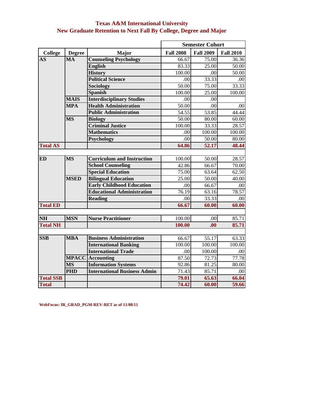| <b>Texas A&amp;M International University</b>                           |  |
|-------------------------------------------------------------------------|--|
| <b>New Graduate Retention to Next Fall By College, Degree and Major</b> |  |

|                  |                        |                                     |                  | <b>Semester Cohort</b> |                  |
|------------------|------------------------|-------------------------------------|------------------|------------------------|------------------|
| <b>College</b>   | <b>Degree</b>          | <b>Major</b>                        | <b>Fall 2008</b> | <b>Fall 2009</b>       | <b>Fall 2010</b> |
| <b>AS</b>        | $\overline{\text{MA}}$ | <b>Counseling Psychology</b>        | 66.67            | 75.00                  | 36.36            |
|                  |                        | <b>English</b>                      | 83.33            | 25.00                  | 50.00            |
|                  |                        | <b>History</b>                      | 100.00           | .00                    | 50.00            |
|                  |                        | <b>Political Science</b>            | .00              | 33.33                  | .00              |
|                  |                        | Sociology                           | 50.00            | 75.00                  | 33.33            |
|                  |                        | <b>Spanish</b>                      | 100.00           | 25.00                  | 100.00           |
|                  | <b>MAIS</b>            | <b>Interdisciplinary Studies</b>    | .00              | .00                    |                  |
|                  | <b>MPA</b>             | <b>Health Administration</b>        | 50.00            | .00                    | .00              |
|                  |                        | <b>Public Administration</b>        | 54.55            | 53.85                  | 44.44            |
|                  | <b>MS</b>              | <b>Biology</b>                      | 50.00            | 80.00                  | 60.00            |
|                  |                        | <b>Criminal Justice</b>             | 100.00           | 33.33                  | 28.57            |
|                  |                        | <b>Mathematics</b>                  | .00              | 100.00                 | 100.00           |
|                  |                        | <b>Psychology</b>                   | .00              | 50.00                  | 80.00            |
| <b>Total AS</b>  |                        |                                     | 64.86            | 52.17                  | 48.44            |
|                  |                        |                                     |                  |                        |                  |
| ED               | $\overline{\text{MS}}$ | <b>Curriculum and Instruction</b>   | 100.00           | 50.00                  | 28.57            |
|                  |                        | <b>School Counseling</b>            | 42.86            | 66.67                  | 70.00            |
|                  |                        | <b>Special Education</b>            | 75.00            | 63.64                  | 62.50            |
|                  | <b>MSED</b>            | <b>Bilingual Education</b>          | 25.00            | 50.00                  | 40.00            |
|                  |                        | <b>Early Childhood Education</b>    | .00              | 66.67                  | .00              |
|                  |                        | <b>Educational Administration</b>   | 76.19            | 63.16                  | 78.57            |
|                  |                        | <b>Reading</b>                      | .00              | 33.33                  | .00              |
| <b>Total ED</b>  |                        |                                     | 66.67            | 60.00                  | 60.00            |
|                  |                        |                                     |                  |                        |                  |
| <b>NH</b>        | <b>MSN</b>             | <b>Nurse Practitioner</b>           | 100.00           | .00                    | 85.71            |
| <b>Total NH</b>  |                        |                                     | 100.00           | .00.                   | 85.71            |
|                  |                        |                                     |                  |                        |                  |
| <b>SSB</b>       | <b>MBA</b>             | <b>Business Administration</b>      | 66.67            | 55.17                  | 63.33            |
|                  |                        | <b>International Banking</b>        | 100.00           | 100.00                 | 100.00           |
|                  |                        | <b>International Trade</b>          | .00              | 100.00                 | .00              |
|                  |                        | <b>MPACC</b> Accounting             | 87.50            | 72.73                  | 77.78            |
|                  | <b>MS</b>              | <b>Information Systems</b>          | 92.86            | 81.25                  | 80.00            |
|                  | <b>PHD</b>             | <b>International Business Admin</b> | 71.43            | 85.71                  | .00              |
| <b>Total SSB</b> |                        |                                     | 79.01            | 65.63                  | 66.04            |
| <b>Total</b>     |                        |                                     | 74.42            | 60.00                  | 59.66            |

**WebFocus: IR\_GRAD\_PGM-REV-RET as of 11/08/11**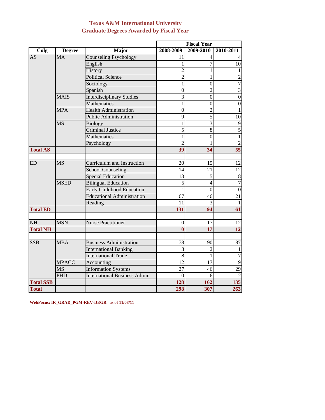## **Graduate Degrees Awarded by Fiscal Year Texas A&M International University**

|                  |               |                                     |                 | <b>Fiscal Year</b>       |                  |
|------------------|---------------|-------------------------------------|-----------------|--------------------------|------------------|
| Colg             | <b>Degree</b> | <b>Major</b>                        | 2008-2009       | 2009-2010                | 2010-2011        |
| <b>AS</b>        | <b>MA</b>     | Counseling Psychology               | 11              |                          |                  |
|                  |               | English                             |                 |                          | 10               |
|                  |               | History                             | $\overline{2}$  |                          | 1                |
|                  |               | <b>Political Science</b>            | $\overline{c}$  | 1                        | $\overline{2}$   |
|                  |               | Sociology                           | 1               | $\overline{0}$           | $\overline{7}$   |
|                  |               | Spanish                             | $\overline{0}$  | $\overline{\mathcal{L}}$ | $\overline{3}$   |
|                  | <b>MAIS</b>   | <b>Interdisciplinary Studies</b>    | $\overline{3}$  | $\overline{0}$           | $\overline{0}$   |
|                  |               | Mathematics                         |                 | $\overline{0}$           | $\boldsymbol{0}$ |
|                  | <b>MPA</b>    | <b>Health Administration</b>        | $\theta$        | $\overline{2}$           | $\mathbf{1}$     |
|                  |               | <b>Public Administration</b>        | 9               | 5                        | 10               |
|                  | <b>MS</b>     | <b>Biology</b>                      | 1               | 3                        | $\overline{9}$   |
|                  |               | <b>Criminal Justice</b>             | $\overline{5}$  | 8                        | $\overline{5}$   |
|                  |               | Mathematics                         | 1               | $\theta$                 | $\mathbf 1$      |
|                  |               | Psychology                          | 2               |                          | $\overline{c}$   |
| <b>Total AS</b>  |               |                                     | 39              | 34                       | 55               |
|                  |               |                                     |                 |                          |                  |
| <b>ED</b>        | <b>MS</b>     | Curriculum and Instruction          | 20              | 15                       | 12               |
|                  |               | School Counseling                   | 14              | 21                       | $\overline{12}$  |
|                  |               | <b>Special Education</b>            | 13              | 5                        | $\,8\,$          |
|                  | <b>MSED</b>   | <b>Bilingual Education</b>          | 5               | $\overline{4}$           | $\overline{7}$   |
|                  |               | <b>Early Childhood Education</b>    |                 | $\theta$                 | $\overline{0}$   |
|                  |               | <b>Educational Administration</b>   | 67              | 46                       | 21               |
|                  |               | Reading                             | 11              | 3                        | $\mathbf{1}$     |
| <b>Total ED</b>  |               |                                     | 131             | 94                       | 61               |
| <b>NH</b>        | <b>MSN</b>    | <b>Nurse Practitioner</b>           | 0               | 17                       | 12               |
| <b>Total NH</b>  |               |                                     | 0               | $\overline{17}$          | $\overline{12}$  |
|                  |               |                                     |                 |                          |                  |
| <b>SSB</b>       | <b>MBA</b>    | <b>Business Administration</b>      | 78              | 90                       | $\overline{87}$  |
|                  |               | <b>International Banking</b>        | 3               | $\overline{c}$           |                  |
|                  |               | <b>International Trade</b>          | 8               |                          | $\overline{7}$   |
|                  | <b>MPACC</b>  | Accounting                          | $\overline{12}$ | $\overline{17}$          | $\overline{9}$   |
|                  | <b>MS</b>     | <b>Information Systems</b>          | 27              | 46                       | $\overline{29}$  |
|                  | <b>PHD</b>    | <b>International Business Admin</b> | $\overline{0}$  | 6                        | $\overline{2}$   |
| <b>Total SSB</b> |               |                                     | 128             | 162                      | 135              |
| <b>Total</b>     |               |                                     | 298             | 307                      | 263              |

**WebFocus: IR\_GRAD\_PGM-REV-DEGR as of 11/08/11**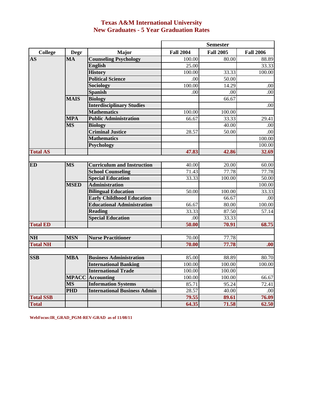# **Texas A&M International University New Graduates - 5 Year Graduation Rates**

|                  |             |                                     |                  | <b>Semester</b>  |                  |
|------------------|-------------|-------------------------------------|------------------|------------------|------------------|
| <b>College</b>   | <b>Degr</b> | <b>Major</b>                        | <b>Fall 2004</b> | <b>Fall 2005</b> | <b>Fall 2006</b> |
| <b>AS</b>        | MA          | <b>Counseling Psychology</b>        | 100.00           | 80.00            | 88.89            |
|                  |             | <b>English</b>                      | 25.00            |                  | 33.33            |
|                  |             | <b>History</b>                      | 100.00           | 33.33            | 100.00           |
|                  |             | <b>Political Science</b>            | .00              | 50.00            |                  |
|                  |             | <b>Sociology</b>                    | 100.00           | 14.29            | .00              |
|                  |             | <b>Spanish</b>                      | .00              | .00              | $\overline{.00}$ |
|                  | <b>MAIS</b> | <b>Biology</b>                      |                  | 66.67            |                  |
|                  |             | <b>Interdisciplinary Studies</b>    |                  |                  | .00              |
|                  |             | <b>Mathematics</b>                  | 100.00           | 100.00           |                  |
|                  | <b>MPA</b>  | <b>Public Administration</b>        | 66.67            | 33.33            | 29.41            |
|                  | <b>MS</b>   | <b>Biology</b>                      |                  | 40.00            | .00              |
|                  |             | <b>Criminal Justice</b>             | 28.57            | 50.00            | .00              |
|                  |             | <b>Mathematics</b>                  |                  |                  | 100.00           |
|                  |             | <b>Psychology</b>                   |                  |                  | 100.00           |
| <b>Total AS</b>  |             |                                     | 47.83            | 42.86            | 32.69            |
|                  |             |                                     |                  |                  |                  |
| <b>ED</b>        | <b>MS</b>   | <b>Curriculum and Instruction</b>   | 40.00            | 20.00            | 60.00            |
|                  |             | <b>School Counseling</b>            | 71.43            | 77.78            | 77.78            |
|                  |             | <b>Special Education</b>            | 33.33            | 100.00           | 50.00            |
|                  | <b>MSED</b> | <b>Administration</b>               |                  |                  | 100.00           |
|                  |             | <b>Bilingual Education</b>          | 50.00            | 100.00           | 33.33            |
|                  |             | <b>Early Childhood Education</b>    |                  | 66.67            | .00              |
|                  |             | <b>Educational Administration</b>   | 66.67            | 80.00            | 100.00           |
|                  |             | <b>Reading</b>                      | 33.33            | 87.50            | 57.14            |
|                  |             | <b>Special Education</b>            | .00              | 33.33            |                  |
| <b>Total ED</b>  |             |                                     | 50.00            | 70.91            | 68.75            |
| <b>NH</b>        | <b>MSN</b>  | <b>Nurse Practitioner</b>           | 70.00            | 77.78            |                  |
| <b>Total NH</b>  |             |                                     | 70.00            | 77.78            | .00              |
|                  |             |                                     |                  |                  |                  |
| <b>SSB</b>       | <b>MBA</b>  | <b>Business Administration</b>      | 85.00            | 88.89            | 80.70            |
|                  |             | <b>International Banking</b>        | 100.00           | 100.00           | 100.00           |
|                  |             | <b>International Trade</b>          | 100.00           | 100.00           |                  |
|                  |             | <b>MPACC</b> Accounting             | 100.00           | 100.00           | 66.67            |
|                  | <b>MS</b>   | <b>Information Systems</b>          | 85.71            | 95.24            | 72.41            |
|                  | <b>PHD</b>  | <b>International Business Admin</b> | 28.57            | 40.00            | .00              |
| <b>Total SSB</b> |             |                                     | 79.55            | 89.61            | 76.09            |
| <b>Total</b>     |             |                                     | 64.35            | 71.58            | 62.50            |

**WebFocus:IR\_GRAD\_PGM-REV-GRAD as of 11/08/11**